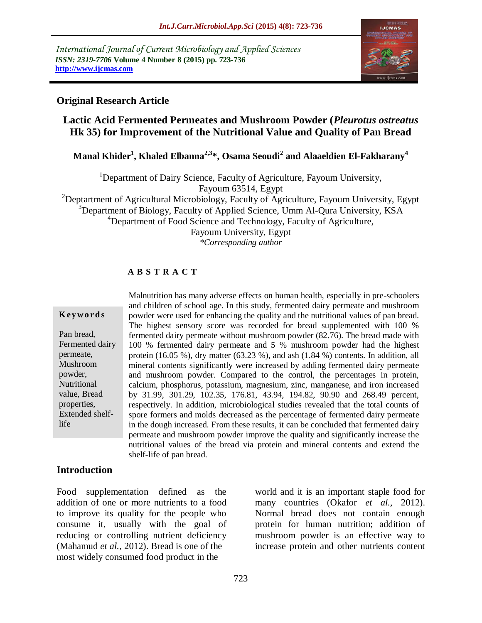*International Journal of Current Microbiology and Applied Sciences ISSN: 2319-7706* **Volume 4 Number 8 (2015) pp. 723-736 http://www.ijcmas.com** 



### **Original Research Article**

# **Lactic Acid Fermented Permeates and Mushroom Powder (***Pleurotus ostreatus* **Hk 35) for Improvement of the Nutritional Value and Quality of Pan Bread**

**Manal Khider<sup>1</sup> , Khaled Elbanna2,3\*, Osama Seoudi<sup>2</sup> and Alaaeldien El-Fakharany 4**

<sup>1</sup>Department of Dairy Science, Faculty of Agriculture, Fayoum University, Fayoum 63514, Egypt

<sup>2</sup>Deptartment of Agricultural Microbiology, Faculty of Agriculture, Fayoum University, Egypt  $3$ Department of Biology, Faculty of Applied Science, Umm Al-Qura University, KSA <sup>4</sup>Department of Food Science and Technology, Faculty of Agriculture,

Fayoum University, Egypt *\*Corresponding author*

### **A B S T R A C T**

#### **K ey w o rd s**

Pan bread, Fermented dairy permeate, Mushroom powder, Nutritional value, Bread properties, Extended shelflife

Malnutrition has many adverse effects on human health, especially in pre-schoolers and children of school age. In this study, fermented dairy permeate and mushroom powder were used for enhancing the quality and the nutritional values of pan bread. The highest sensory score was recorded for bread supplemented with 100 % fermented dairy permeate without mushroom powder (82.76). The bread made with 100 % fermented dairy permeate and 5 % mushroom powder had the highest protein (16.05 %), dry matter (63.23 %), and ash (1.84 %) contents. In addition, all mineral contents significantly were increased by adding fermented dairy permeate and mushroom powder. Compared to the control, the percentages in protein, calcium, phosphorus, potassium, magnesium, zinc, manganese, and iron increased by 31.99, 301.29, 102.35, 176.81, 43.94, 194.82, 90.90 and 268.49 percent, respectively. In addition, microbiological studies revealed that the total counts of spore formers and molds decreased as the percentage of fermented dairy permeate in the dough increased. From these results, it can be concluded that fermented dairy permeate and mushroom powder improve the quality and significantly increase the nutritional values of the bread via protein and mineral contents and extend the shelf-life of pan bread.

#### **Introduction**

Food supplementation defined as the addition of one or more nutrients to a food to improve its quality for the people who consume it, usually with the goal of reducing or controlling nutrient deficiency (Mahamud *et al.,* 2012). Bread is one of the most widely consumed food product in the

world and it is an important staple food for many countries (Okafor *et al.,* 2012). Normal bread does not contain enough protein for human nutrition; addition of mushroom powder is an effective way to increase protein and other nutrients content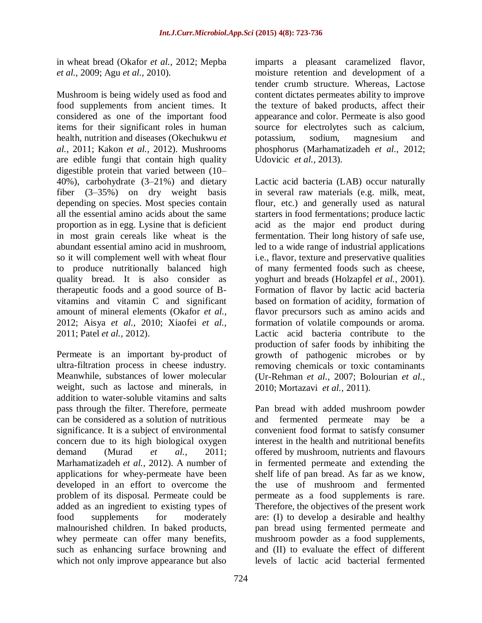in wheat bread (Okafor *et al.,* 2012; Mepba *et al.,* 2009; Agu *et al.,* 2010).

Mushroom is being widely used as food and food supplements from ancient times. It considered as one of the important food items for their significant roles in human health, nutrition and diseases (Okechukwu *et al.,* 2011; Kakon *et al.,* 2012). Mushrooms are edible fungi that contain high quality digestible protein that varied between (10– 40%), carbohydrate (3–21%) and dietary fiber (3–35%) on dry weight basis depending on species. Most species contain all the essential amino acids about the same proportion as in egg. Lysine that is deficient in most grain cereals like wheat is the abundant essential amino acid in mushroom, so it will complement well with wheat flour to produce nutritionally balanced high quality bread. It is also consider as therapeutic foods and a good source of Bvitamins and vitamin C and significant amount of mineral elements (Okafor *et al.,* 2012; Aisya *et al.,* 2010; Xiaofei *et al.,* 2011; Patel *et al.,* 2012).

Permeate is an important by-product of ultra-filtration process in cheese industry. Meanwhile, substances of lower molecular weight, such as lactose and minerals, in addition to water-soluble vitamins and salts pass through the filter. Therefore, permeate can be considered as a solution of nutritious significance. It is a subject of environmental concern due to its high biological oxygen demand (Murad *et al.,* 2011; Marhamatizadeh *et al.,* 2012). A number of applications for whey-permeate have been developed in an effort to overcome the problem of its disposal. Permeate could be added as an ingredient to existing types of food supplements for moderately malnourished children. In baked products, whey permeate can offer many benefits, such as enhancing surface browning and which not only improve appearance but also

imparts a pleasant caramelized flavor, moisture retention and development of a tender crumb structure. Whereas, Lactose content dictates permeates ability to improve the texture of baked products, affect their appearance and color. Permeate is also good source for electrolytes such as calcium, potassium, sodium, magnesium and phosphorus (Marhamatizadeh *et al.,* 2012; Udovicic *et al.,* 2013).

Lactic acid bacteria (LAB) occur naturally in several raw materials (e.g. milk, meat, flour, etc.) and generally used as natural starters in food fermentations; produce lactic acid as the major end product during fermentation. Their long history of safe use, led to a wide range of industrial applications i.e., flavor, texture and preservative qualities of many fermented foods such as cheese, yoghurt and breads (Holzapfel *et al.,* 2001). Formation of flavor by lactic acid bacteria based on formation of acidity, formation of flavor precursors such as amino acids and formation of volatile compounds or aroma. Lactic acid bacteria contribute to the production of safer foods by inhibiting the growth of pathogenic microbes or by removing chemicals or toxic contaminants (Ur-Rehman *et al.,* 2007; Bolourian *et al.,* 2010; Mortazavi *et al.,* 2011).

Pan bread with added mushroom powder and fermented permeate may be a convenient food format to satisfy consumer interest in the health and nutritional benefits offered by mushroom, nutrients and flavours in fermented permeate and extending the shelf life of pan bread. As far as we know, the use of mushroom and fermented permeate as a food supplements is rare. Therefore, the objectives of the present work are: (I) to develop a desirable and healthy pan bread using fermented permeate and mushroom powder as a food supplements, and (II) to evaluate the effect of different levels of lactic acid bacterial fermented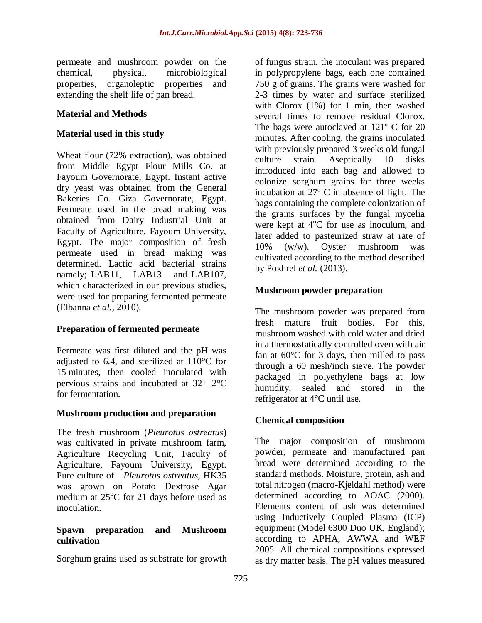permeate and mushroom powder on the chemical, physical, microbiological properties, organoleptic properties and extending the shelf life of pan bread.

### **Material and Methods**

### **Material used in this study**

Wheat flour (72% extraction), was obtained from Middle Egypt Flour Mills Co. at Fayoum Governorate, Egypt. Instant active dry yeast was obtained from the General Bakeries Co. Giza Governorate, Egypt. Permeate used in the bread making was obtained from Dairy Industrial Unit at Faculty of Agriculture, Fayoum University, Egypt. The major composition of fresh permeate used in bread making was determined. Lactic acid bacterial strains namely: LAB11, LAB13 and LAB107. which characterized in our previous studies, were used for preparing fermented permeate (Elbanna *et al.,* 2010).

# **Preparation of fermented permeate**

Permeate was first diluted and the pH was adjusted to 6.4, and sterilized at  $110^{\circ}$ C for 15 minutes, then cooled inoculated with pervious strains and incubated at 32+ 2°C for fermentation.

#### **Mushroom production and preparation**

The fresh mushroom (*Pleurotus ostreatus*) was cultivated in private mushroom farm, Agriculture Recycling Unit, Faculty of Agriculture, Fayoum University, Egypt. Pure culture of *Pleurotus ostreatus,* HK35 was grown on Potato Dextrose Agar medium at  $25^{\circ}$ C for 21 days before used as inoculation.

#### **Spawn preparation and Mushroom cultivation**

Sorghum grains used as substrate for growth

of fungus strain, the inoculant was prepared in polypropylene bags, each one contained 750 g of grains. The grains were washed for 2-3 times by water and surface sterilized with Clorox (1%) for 1 min, then washed several times to remove residual Clorox. The bags were autoclaved at  $121^{\circ}$  C for 20 minutes. After cooling, the grains inoculated with previously prepared 3 weeks old fungal culture strain. Aseptically 10 disks introduced into each bag and allowed to colonize sorghum grains for three weeks incubation at 27º C in absence of light. The bags containing the complete colonization of the grains surfaces by the fungal mycelia were kept at  $4^{\circ}$ C for use as inoculum, and later added to pasteurized straw at rate of 10% (w/w). Oyster mushroom was cultivated according to the method described by Pokhrel *et al.* (2013).

# **Mushroom powder preparation**

The mushroom powder was prepared from fresh mature fruit bodies. For this, mushroom washed with cold water and dried in a thermostatically controlled oven with air fan at  $60^{\circ}$ C for 3 days, then milled to pass through a 60 mesh/inch sieve. The powder packaged in polyethylene bags at low humidity, sealed and stored in the refrigerator at 4°C until use.

#### **Chemical composition**

The major composition of mushroom powder, permeate and manufactured pan bread were determined according to the standard methods. Moisture, protein, ash and total nitrogen (macro-Kjeldahl method) were determined according to AOAC (2000). Elements content of ash was determined using Inductively Coupled Plasma (ICP) equipment (Model 6300 Duo UK, England); according to APHA, AWWA and WEF 2005. All chemical compositions expressed as dry matter basis. The pH values measured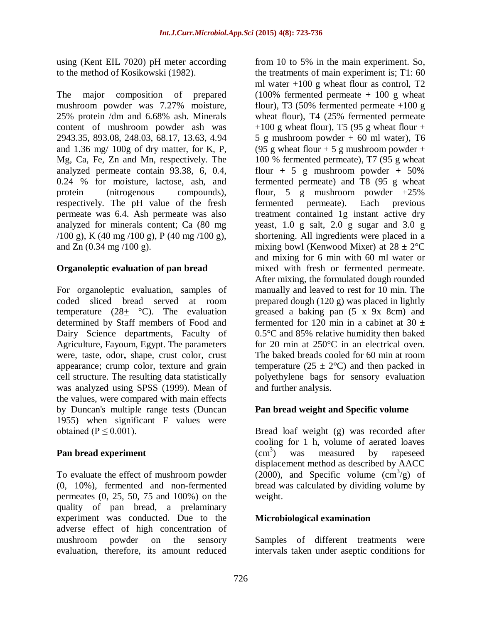using (Kent EIL 7020) pH meter according to the method of Kosikowski (1982).

The major composition of prepared mushroom powder was 7.27% moisture, 25% protein /dm and 6.68% ash. Minerals content of mushroom powder ash was 2943.35, 893.08, 248.03, 68.17, 13.63, 4.94 and 1.36 mg/ 100g of dry matter, for K, P, Mg, Ca, Fe, Zn and Mn, respectively. The analyzed permeate contain 93.38, 6, 0.4, 0.24 % for moisture, lactose, ash, and protein (nitrogenous compounds), respectively. The pH value of the fresh permeate was 6.4. Ash permeate was also analyzed for minerals content; Ca (80 mg  $(100 \text{ g})$ , K  $(40 \text{ mg } / 100 \text{ g})$ , P  $(40 \text{ mg } / 100 \text{ g})$ , and Zn (0.34 mg /100 g).

### **Organoleptic evaluation of pan bread**

For organoleptic evaluation, samples of coded sliced bread served at room temperature  $(28<sub>±</sub> °C)$ . The evaluation determined by Staff members of Food and Dairy Science departments, Faculty of Agriculture, Fayoum, Egypt. The parameters were, taste, odor**,** shape, crust color, crust appearance; crump color, texture and grain cell structure. The resulting data statistically was analyzed using SPSS (1999). Mean of the values, were compared with main effects by Duncan's multiple range tests (Duncan 1955) when significant F values were obtained ( $P \le 0.001$ ).

# **Pan bread experiment**

To evaluate the effect of mushroom powder (0, 10%), fermented and non-fermented permeates (0, 25, 50, 75 and 100%) on the quality of pan bread, a prelaminary experiment was conducted. Due to the adverse effect of high concentration of mushroom powder on the sensory evaluation, therefore, its amount reduced

from 10 to 5% in the main experiment. So, the treatments of main experiment is; T1: 60 ml water  $+100$  g wheat flour as control, T2  $(100\%$  fermented permeate  $+100$  g wheat flour), T3 (50% fermented permeate  $+100 \text{ g}$ wheat flour), T4 (25% fermented permeate  $+100$  g wheat flour), T5 (95 g wheat flour  $+$ 5 g mushroom powder  $+60$  ml water), T6 (95 g wheat flour + 5 g mushroom powder + 100 % fermented permeate), T7 (95 g wheat flour  $+ 5$  g mushroom powder  $+ 50\%$ fermented permeate) and T8 (95 g wheat flour, 5 g mushroom powder  $+25\%$ fermented permeate). Each previous treatment contained 1g instant active dry yeast, 1.0 g salt, 2.0 g sugar and 3.0 g shortening. All ingredients were placed in a mixing bowl (Kenwood Mixer) at  $28 \pm 2$ °C and mixing for 6 min with 60 ml water or mixed with fresh or fermented permeate. After mixing, the formulated dough rounded manually and leaved to rest for 10 min. The prepared dough (120 g) was placed in lightly greased a baking pan (5 x 9x 8cm) and fermented for 120 min in a cabinet at  $30 \pm$ 0.5°C and 85% relative humidity then baked for 20 min at 250°C in an electrical oven. The baked breads cooled for 60 min at room temperature ( $25 \pm 2$ °C) and then packed in polyethylene bags for sensory evaluation and further analysis.

# **Pan bread weight and Specific volume**

Bread loaf weight (g) was recorded after cooling for 1 h, volume of aerated loaves  $(cm<sup>3</sup>)$ ) was measured by rapeseed displacement method as described by AACC  $(2000)$ , and Specific volume  $(\text{cm}^3/\text{g})$  of bread was calculated by dividing volume by weight.

#### **Microbiological examination**

Samples of different treatments were intervals taken under aseptic conditions for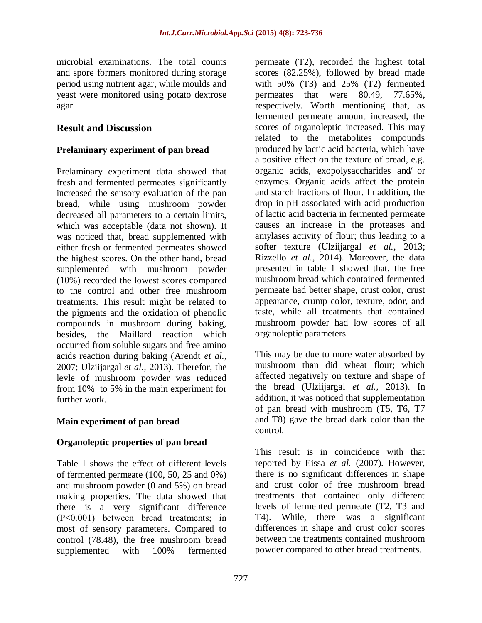microbial examinations. The total counts and spore formers monitored during storage period using nutrient agar, while moulds and yeast were monitored using potato dextrose agar.

### **Result and Discussion**

#### **Prelaminary experiment of pan bread**

Prelaminary experiment data showed that fresh and fermented permeates significantly increased the sensory evaluation of the pan bread, while using mushroom powder decreased all parameters to a certain limits, which was acceptable (data not shown). It was noticed that, bread supplemented with either fresh or fermented permeates showed the highest scores. On the other hand, bread supplemented with mushroom powder (10%) recorded the lowest scores compared to the control and other free mushroom treatments. This result might be related to the pigments and the oxidation of phenolic compounds in mushroom during baking, besides, the Maillard reaction which occurred from soluble sugars and free amino acids reaction during baking (Arendt *et al.,* 2007; Ulziijargal *et al.,* 2013). Therefor, the levle of mushroom powder was reduced from 10% to 5% in the main experiment for further work.

# **Main experiment of pan bread**

#### **Organoleptic properties of pan bread**

Table 1 shows the effect of different levels of fermented permeate (100, 50, 25 and 0%) and mushroom powder (0 and 5%) on bread making properties. The data showed that there is a very significant difference (P˂0.001) between bread treatments; in most of sensory parameters. Compared to control (78.48), the free mushroom bread supplemented with 100% fermented

permeate (T2), recorded the highest total scores (82.25%), followed by bread made with 50% (T3) and 25% (T2) fermented permeates that were 80.49, 77.65%, respectively. Worth mentioning that, as fermented permeate amount increased, the scores of organoleptic increased. This may related to the metabolites compounds produced by lactic acid bacteria, which have a positive effect on the texture of bread, e.g. organic acids, exopolysaccharides and or enzymes. Organic acids affect the protein and starch fractions of flour. In addition, the drop in pH associated with acid production of lactic acid bacteria in fermented permeate causes an increase in the proteases and amylases activity of flour; thus leading to a softer texture (Ulziijargal *et al.,* 2013; Rizzello *et al.,* 2014). Moreover, the data presented in table 1 showed that, the free mushroom bread which contained fermented permeate had better shape, crust color, crust appearance, crump color, texture, odor, and taste, while all treatments that contained mushroom powder had low scores of all organoleptic parameters.

This may be due to more water absorbed by mushroom than did wheat flour; which affected negatively on texture and shape of the bread (Ulziijargal *et al.,* 2013). In addition, it was noticed that supplementation of pan bread with mushroom (T5, T6, T7 and T8) gave the bread dark color than the control.

This result is in coincidence with that reported by Eissa *et al.* (2007). However, there is no significant differences in shape and crust color of free mushroom bread treatments that contained only different levels of fermented permeate (T2, T3 and T4). While, there was a significant differences in shape and crust color scores between the treatments contained mushroom powder compared to other bread treatments.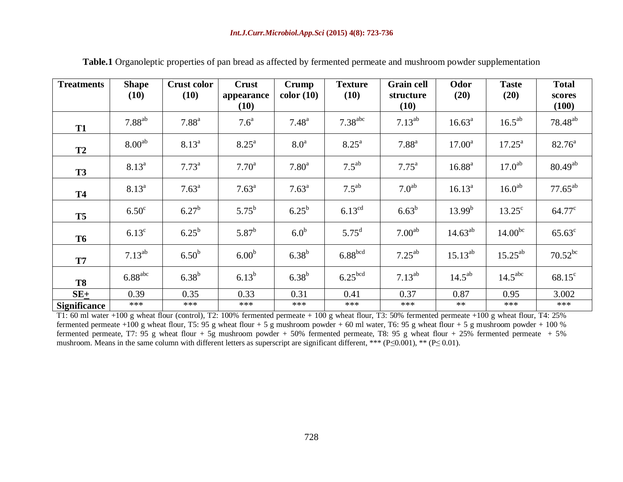| <b>Treatments</b>   | <b>Shape</b><br>(10) | <b>Crust color</b><br>(10) | <b>Crust</b><br>appearance<br>(10) | Crump<br>color(10) | <b>Texture</b><br>(10) | <b>Grain cell</b><br>structure<br>(10) | Odor<br>(20)    | <b>Taste</b><br>(20) | <b>Total</b><br>scores<br>(100) |
|---------------------|----------------------|----------------------------|------------------------------------|--------------------|------------------------|----------------------------------------|-----------------|----------------------|---------------------------------|
| <b>T1</b>           | $7.88^{ab}$          | 7.88 <sup>a</sup>          | 7.6 <sup>a</sup>                   | $7.48^{a}$         | 7.38 <sup>abc</sup>    | $7.13^{ab}$                            | $16.63^{\circ}$ | $16.5^{ab}$          | $78.48^{ab}$                    |
| <b>T2</b>           | 8.00 <sup>ab</sup>   | $8.13^{a}$                 | $8.25^{\text{a}}$                  | 8.0 <sup>a</sup>   | $8.25^{\circ}$         | 7.88 <sup>a</sup>                      | $17.00^a$       | $17.25^{\text{a}}$   | $82.76^{\circ}$                 |
| <b>T3</b>           | $8.13^{a}$           | $7.73^{\text{a}}$          | $7.70^{\rm a}$                     | 7.80 <sup>a</sup>  | $7.5^{ab}$             | $7.75^{\rm a}$                         | $16.88^{a}$     | 17.0 <sup>ab</sup>   | $80.49^{ab}$                    |
| <b>T4</b>           | $8.13^{a}$           | $7.63^{\text{a}}$          | $7.63^{\text{a}}$                  | $7.63^{\text{a}}$  | $7.5^{ab}$             | 7.0 <sup>ab</sup>                      | $16.13^{a}$     | 16.0 <sup>ab</sup>   | $77.65^{ab}$                    |
| <b>T5</b>           | 6.50 <sup>c</sup>    | $6.27^{b}$                 | $5.75^{b}$                         | $6.25^{b}$         | $6.13^{\text{cd}}$     | $6.63^{b}$                             | $13.99^{b}$     | $13.25^{\circ}$      | $64.77^{\circ}$                 |
| <b>T6</b>           | $6.13^{\circ}$       | $6.25^{b}$                 | $5.87^{b}$                         | 6.0 <sup>b</sup>   | $5.75^{\rm d}$         | 7.00 <sup>ab</sup>                     | $14.63^{ab}$    | $14.00^{bc}$         | $65.63^{\circ}$                 |
| <b>T7</b>           | $7.13^{ab}$          | 6.50 <sup>b</sup>          | 6.00 <sup>b</sup>                  | $6.38^{b}$         | 6.88 <sup>bcd</sup>    | $7.25^{ab}$                            | $15.13^{ab}$    | $15.25^{ab}$         | $70.52^{bc}$                    |
| <b>T8</b>           | 6.88 <sup>abc</sup>  | $6.38^{b}$                 | $6.13^{b}$                         | $6.38^{b}$         | 6.25 <sup>bcd</sup>    | $7.13^{ab}$                            | $14.5^{ab}$     | 14.5 <sup>abc</sup>  | $68.15^{\circ}$                 |
| $SE+$               | 0.39                 | 0.35                       | 0.33                               | 0.31               | 0.41                   | 0.37                                   | 0.87            | 0.95                 | 3.002                           |
| <b>Significance</b> | ***                  | ***                        | ***                                | ***                | ***                    | ***                                    | $**$            | ***                  | ***                             |

**Table.1** Organoleptic properties of pan bread as affected by fermented permeate and mushroom powder supplementation

T1: 60 ml water +100 g wheat flour (control), T2: 100% fermented permeate + 100 g wheat flour, T3: 50% fermented permeate +100 g wheat flour, T4: 25% fermented permeate +100 g wheat flour, T5: 95 g wheat flour + 5 g mushroom powder + 60 ml water, T6: 95 g wheat flour + 5 g mushroom powder + 100 % fermented permeate, T7: 95 g wheat flour + 5g mushroom powder + 50% fermented permeate, T8: 95 g wheat flour + 25% fermented permeate + 5% mushroom. Means in the same column with different letters as superscript are significant different, \*\*\* ( $P \le 0.001$ ), \*\* ( $P \le 0.01$ ).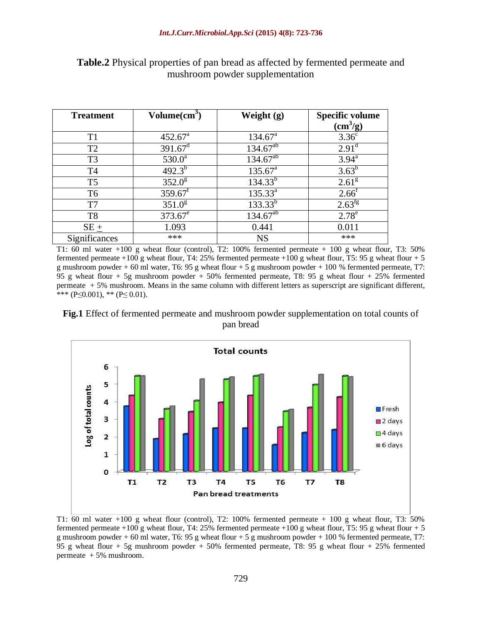| <b>Treatment</b> | $Volume(cm^3)$        | Weight $(g)$        | <b>Specific volume</b> |
|------------------|-----------------------|---------------------|------------------------|
|                  |                       |                     | $\text{cm}^3\text{/g}$ |
| T1               | $452.67^{\circ}$      | $134.67^{\circ}$    | 3.36 <sup>c</sup>      |
| T <sub>2</sub>   | $391.67^{\text{d}}$   | $134.67^{ab}$       | $2.91^d$               |
| T <sub>3</sub>   | $530.0^a$             | $134.67^{ab}$       | $3.94^{\text{a}}$      |
| T <sub>4</sub>   | $492.3^{b}$           | $135.67^{\text{a}}$ | $3.63^{b}$             |
| T <sub>5</sub>   | $352.0^8$             | $134.33^{b}$        | 2.61 <sup>g</sup>      |
| T <sub>6</sub>   | $359.67$ <sup>f</sup> | $135.33^{a}$        | $2.66^{\text{t}}$      |
| T7               | $351.0^8$             | $133.33^{b}$        | $2.63^{fg}$            |
| T <sub>8</sub>   | $373.67^e$            | $134.67^{ab}$       | $2.78^e$               |
| $SE \pm$         | 1.093                 | 0.441               | 0.011                  |
| Significances    | ***                   | <b>NS</b>           | ***                    |

**Table.2** Physical properties of pan bread as affected by fermented permeate and mushroom powder supplementation

T1: 60 ml water +100 g wheat flour (control), T2: 100% fermented permeate + 100 g wheat flour, T3: 50% fermented permeate +100 g wheat flour, T4: 25% fermented permeate +100 g wheat flour, T5: 95 g wheat flour + 5 g mushroom powder + 60 ml water, T6: 95 g wheat flour + 5 g mushroom powder + 100 % fermented permeate, T7: 95 g wheat flour + 5g mushroom powder + 50% fermented permeate, T8: 95 g wheat flour + 25% fermented permeate + 5% mushroom. Means in the same column with different letters as superscript are significant different, \*\*\* (P≤0.001), \*\* (P≤ 0.01).





T1:  $\overline{60}$  ml water +100 g wheat flour (control), T2: 100% fermented permeate + 100 g wheat flour, T3: 50% fermented permeate +100 g wheat flour, T4: 25% fermented permeate +100 g wheat flour, T5: 95 g wheat flour + 5 g mushroom powder + 60 ml water, T6: 95 g wheat flour + 5 g mushroom powder + 100 % fermented permeate, T7: 95 g wheat flour + 5g mushroom powder + 50% fermented permeate, T8: 95 g wheat flour + 25% fermented permeate + 5% mushroom.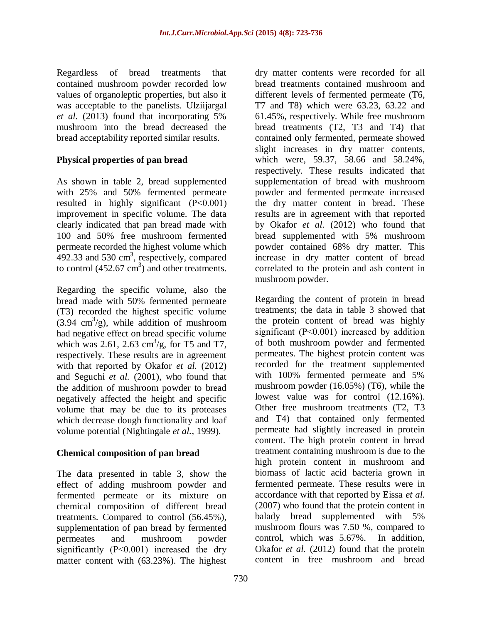Regardless of bread treatments that contained mushroom powder recorded low values of organoleptic properties, but also it was acceptable to the panelists. Ulziijargal *et al.* (2013) found that incorporating 5% mushroom into the bread decreased the bread acceptability reported similar results.

# **Physical properties of pan bread**

As shown in table 2, bread supplemented with 25% and 50% fermented permeate resulted in highly significant (P˂0.001) improvement in specific volume. The data clearly indicated that pan bread made with 100 and 50% free mushroom fermented permeate recorded the highest volume which  $492.33$  and  $530 \text{ cm}^3$ , respectively, compared to control  $(452.67 \text{ cm}^3)$  and other treatments.

Regarding the specific volume, also the bread made with 50% fermented permeate (T3) recorded the highest specific volume  $(3.94 \text{ cm}^3/\text{g})$ , while addition of mushroom had negative effect on bread specific volume which was 2.61, 2.63  $\text{cm}^3/\text{g}$ , for T5 and T7, respectively. These results are in agreement with that reported by Okafor *et al.* (2012) and Seguchi *et al.* (2001), who found that the addition of mushroom powder to bread negatively affected the height and specific volume that may be due to its proteases which decrease dough functionality and loaf volume potential (Nightingale *et al.,* 1999).

# **Chemical composition of pan bread**

The data presented in table 3, show the effect of adding mushroom powder and fermented permeate or its mixture on chemical composition of different bread treatments. Compared to control (56.45%), supplementation of pan bread by fermented permeates and mushroom powder significantly (P˂0.001) increased the dry matter content with (63.23%). The highest

dry matter contents were recorded for all bread treatments contained mushroom and different levels of fermented permeate (T6, T7 and T8) which were 63.23, 63.22 and 61.45%, respectively. While free mushroom bread treatments (T2, T3 and T4) that contained only fermented, permeate showed slight increases in dry matter contents, which were, 59.37, 58.66 and 58.24%, respectively. These results indicated that supplementation of bread with mushroom powder and fermented permeate increased the dry matter content in bread. These results are in agreement with that reported by Okafor *et al.* (2012) who found that bread supplemented with 5% mushroom powder contained 68% dry matter. This increase in dry matter content of bread correlated to the protein and ash content in mushroom powder.

Regarding the content of protein in bread treatments; the data in table 3 showed that the protein content of bread was highly significant (P˂0.001) increased by addition of both mushroom powder and fermented permeates. The highest protein content was recorded for the treatment supplemented with 100% fermented permeate and 5% mushroom powder (16.05%) (T6), while the lowest value was for control (12.16%). Other free mushroom treatments (T2, T3 and T4) that contained only fermented permeate had slightly increased in protein content. The high protein content in bread treatment containing mushroom is due to the high protein content in mushroom and biomass of lactic acid bacteria grown in fermented permeate. These results were in accordance with that reported by Eissa *et al.*  (2007) who found that the protein content in balady bread supplemented with 5% mushroom flours was 7.50 %, compared to control, which was 5.67%. In addition, Okafor *et al.* (2012) found that the protein content in free mushroom and bread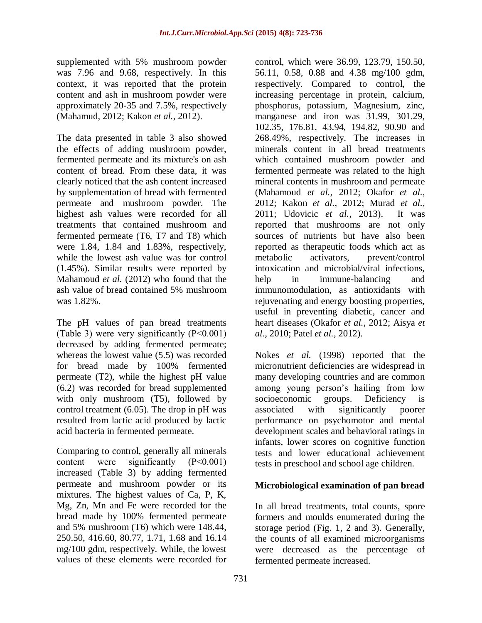supplemented with 5% mushroom powder was 7.96 and 9.68, respectively. In this context, it was reported that the protein content and ash in mushroom powder were approximately 20-35 and 7.5%, respectively (Mahamud, 2012; Kakon *et al.,* 2012).

The data presented in table 3 also showed the effects of adding mushroom powder, fermented permeate and its mixture's on ash content of bread. From these data, it was clearly noticed that the ash content increased by supplementation of bread with fermented permeate and mushroom powder. The highest ash values were recorded for all treatments that contained mushroom and fermented permeate (T6, T7 and T8) which were 1.84, 1.84 and 1.83%, respectively, while the lowest ash value was for control (1.45%). Similar results were reported by Mahamoud *et al.* (2012) who found that the ash value of bread contained 5% mushroom was 1.82%.

The pH values of pan bread treatments (Table 3) were very significantly (P˂0.001) decreased by adding fermented permeate; whereas the lowest value (5.5) was recorded for bread made by 100% fermented permeate (T2), while the highest pH value (6.2) was recorded for bread supplemented with only mushroom (T5), followed by control treatment (6.05). The drop in pH was resulted from lactic acid produced by lactic acid bacteria in fermented permeate.

Comparing to control, generally all minerals content were significantly (P˂0.001) increased (Table 3) by adding fermented permeate and mushroom powder or its mixtures. The highest values of Ca, P, K, Mg, Zn, Mn and Fe were recorded for the bread made by 100% fermented permeate and 5% mushroom (T6) which were 148.44, 250.50, 416.60, 80.77, 1.71, 1.68 and 16.14 mg/100 gdm, respectively. While, the lowest values of these elements were recorded for

control, which were 36.99, 123.79, 150.50, 56.11, 0.58, 0.88 and 4.38 mg/100 gdm, respectively. Compared to control, the increasing percentage in protein, calcium, phosphorus, potassium, Magnesium, zinc, manganese and iron was 31.99, 301.29, 102.35, 176.81, 43.94, 194.82, 90.90 and 268.49%, respectively. The increases in minerals content in all bread treatments which contained mushroom powder and fermented permeate was related to the high mineral contents in mushroom and permeate (Mahamoud *et al.,* 2012; Okafor *et al.,* 2012; Kakon *et al.,* 2012; Murad *et al.,* 2011; Udovicic *et al.,* 2013). It was reported that mushrooms are not only sources of nutrients but have also been reported as therapeutic foods which act as metabolic activators, prevent/control intoxication and microbial/viral infections, help in immune-balancing and immunomodulation, as antioxidants with rejuvenating and energy boosting properties, useful in preventing diabetic, cancer and heart diseases (Okafor *et al.,* 2012; Aisya *et al.,* 2010; Patel *et al.,* 2012).

Nokes *et al.* (1998) reported that the micronutrient deficiencies are widespread in many developing countries and are common among young person's hailing from low socioeconomic groups. Deficiency is associated with significantly poorer performance on psychomotor and mental development scales and behavioral ratings in infants, lower scores on cognitive function tests and lower educational achievement tests in preschool and school age children.

# **Microbiological examination of pan bread**

In all bread treatments, total counts, spore formers and moulds enumerated during the storage period (Fig. 1, 2 and 3). Generally, the counts of all examined microorganisms were decreased as the percentage of fermented permeate increased.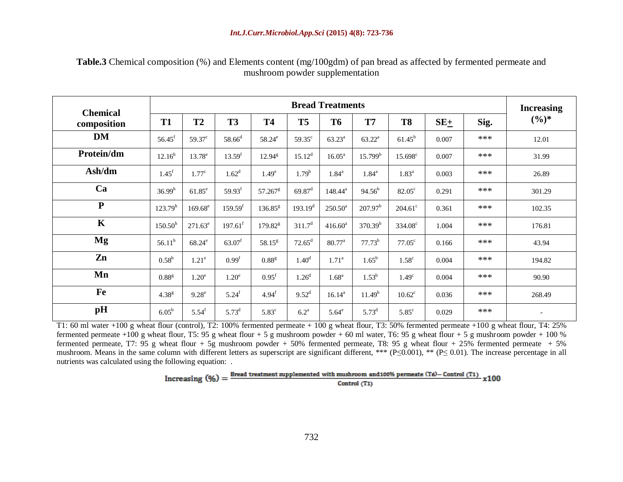**Table.3** Chemical composition (%) and Elements content (mg/100gdm) of pan bread as affected by fermented permeate and mushroom powder supplementation

| <b>Chemical</b> | <b>Bread Treatments</b> |                   |                       |                       |                      |                    |                     |                   |       |      | <b>Increasing</b> |
|-----------------|-------------------------|-------------------|-----------------------|-----------------------|----------------------|--------------------|---------------------|-------------------|-------|------|-------------------|
| composition     | T <sub>1</sub>          | T2                | <b>T3</b>             | <b>T4</b>             | T <sub>5</sub>       | <b>T6</b>          | <b>T7</b>           | <b>T8</b>         | $SE+$ | Sig. | $(\frac{6}{6})^*$ |
| <b>DM</b>       | $56.45$ <sup>f</sup>    | $59.37^{\circ}$   | $58.66^{\rm d}$       | 58.24 <sup>e</sup>    | $59.35^{\circ}$      | $63.23^{\rm a}$    | $63.22^{\rm a}$     | $61.45^{b}$       | 0.007 | ***  | 12.01             |
| Protein/dm      | $12.16^{h}$             | $13.78^e$         | 13.59 <sup>f</sup>    | $12.94^{\rm g}$       | $15.12^{d}$          | $16.05^{\text{a}}$ | 15.799 <sup>b</sup> | $15.698^{\circ}$  | 0.007 | ***  | 31.99             |
| Ash/dm          | $1.45^{f}$              | 1.77 <sup>c</sup> | $1.62^d$              | 1.49 <sup>e</sup>     | $1.79^{b}$           | $1.84^{\rm a}$     | $1.84^{\rm a}$      | $1.83^{a}$        | 0.003 | ***  | 26.89             |
| Ca              | 36.99 <sup>h</sup>      | $61.85^e$         | 59.93 <sup>f</sup>    | $57.267$ <sup>g</sup> | $69.87$ <sup>d</sup> | $148.44^a$         | $94.56^{b}$         | $82.05^{\circ}$   | 0.291 | ***  | 301.29            |
| ${\bf P}$       | $123.79^{h}$            | $169.68^e$        | 159.59 <sup>f</sup>   | $136.85^{8}$          | $193.19^{d}$         | $250.50^a$         | $207.97^b$          | $204.61^{\circ}$  | 0.361 | ***  | 102.35            |
| $\mathbf K$     | 150.50 <sup>h</sup>     | $271.63^e$        | $197.61$ <sup>f</sup> | $179.82^8$            | 311.7 <sup>d</sup>   | $416.60^{\rm a}$   | 370.39 <sup>b</sup> | $334.08^{\circ}$  | 1.004 | ***  | 176.81            |
| Mg              | $56.11^h$               | $68.24^e$         | $63.07$ <sup>f</sup>  | $58.15^{g}$           | $72.65^{\rm d}$      | $80.77^{\text{a}}$ | $77.73^{b}$         | $77.05^{\circ}$   | 0.166 | ***  | 43.94             |
| Zn              | $0.58^{\rm h}$          | 1.21 <sup>e</sup> | 0.99 <sup>f</sup>     | 0.88 <sup>g</sup>     | $1.40^{d}$           | 1.71 <sup>a</sup>  | $1.65^{\rm b}$      | 1.58 <sup>c</sup> | 0.004 | ***  | 194.82            |
| Mn              | $0.88$ <sup>g</sup>     | 1.20 <sup>e</sup> | 1.20 <sup>e</sup>     | 0.95 <sup>f</sup>     | 1.26 <sup>d</sup>    | 1.68 <sup>a</sup>  | $1.53^{b}$          | 1.49 <sup>c</sup> | 0.004 | ***  | 90.90             |
| Fe              | 4.38 <sup>g</sup>       | $9.28^e$          | $5.24^{\rm f}$        | $4.94^{\rm f}$        | $9.52^{\rm d}$       | $16.14^{a}$        | 11.49 <sup>b</sup>  | $10.62^{\circ}$   | 0.036 | ***  | 268.49            |
| pH              | $6.05^{\mathrm{b}}$     | $5.54^{f}$        | $5.73^{d}$            | $5.83^{\circ}$        | 6.2 <sup>a</sup>     | $5.64^e$           | $5.73^{\rm d}$      | $5.85^{\circ}$    | 0.029 | ***  |                   |

T1: 60 ml water +100 g wheat flour (control), T2: 100% fermented permeate + 100 g wheat flour, T3: 50% fermented permeate +100 g wheat flour, T4: 25% fermented permeate +100 g wheat flour, T5: 95 g wheat flour + 5 g mushroom powder + 60 ml water, T6: 95 g wheat flour + 5 g mushroom powder + 100 % fermented permeate, T7: 95 g wheat flour + 5g mushroom powder + 50% fermented permeate, T8: 95 g wheat flour + 25% fermented permeate + 5% mushroom. Means in the same column with different letters as superscript are significant different, \*\*\* (P≤0.001), \*\* (P≤0.01). The increase percentage in all nutrients was calculated using the following equation: .

> Increasing  $(\%) = \frac{\text{Bread treatment supplemented with mushroom and 100\% permeate (T6) - Control (T1)}}{\text{Control (T1)}}$  $x100$ Control (T1)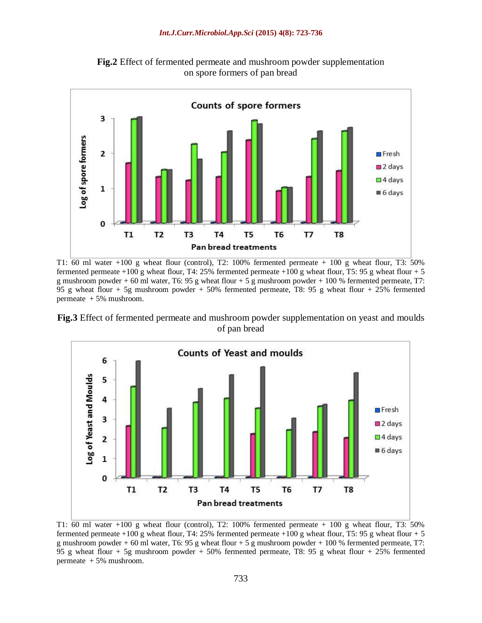

**Fig.2** Effect of fermented permeate and mushroom powder supplementation on spore formers of pan bread

T1:  $\overline{60}$  ml water +100 g wheat flour (control), T2: 100% fermented permeate + 100 g wheat flour, T3: 50% fermented permeate +100 g wheat flour, T4: 25% fermented permeate +100 g wheat flour, T5: 95 g wheat flour + 5 g mushroom powder + 60 ml water, T6: 95 g wheat flour + 5 g mushroom powder + 100 % fermented permeate, T7: 95 g wheat flour + 5g mushroom powder + 50% fermented permeate, T8: 95 g wheat flour + 25% fermented permeate + 5% mushroom.

**Fig.3** Effect of fermented permeate and mushroom powder supplementation on yeast and moulds of pan bread



T1: 60 ml water +100 g wheat flour (control), T2: 100% fermented permeate + 100 g wheat flour, T3: 50% fermented permeate +100 g wheat flour, T4: 25% fermented permeate +100 g wheat flour, T5: 95 g wheat flour + 5 g mushroom powder + 60 ml water, T6: 95 g wheat flour + 5 g mushroom powder + 100 % fermented permeate, T7: 95 g wheat flour + 5g mushroom powder + 50% fermented permeate, T8: 95 g wheat flour + 25% fermented permeate + 5% mushroom.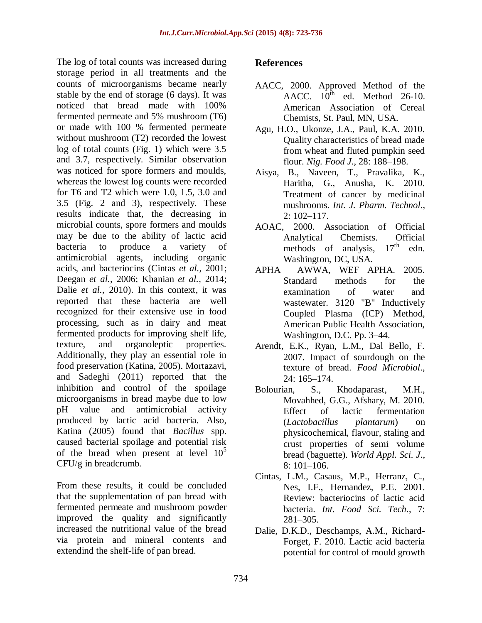The log of total counts was increased during storage period in all treatments and the counts of microorganisms became nearly stable by the end of storage (6 days). It was noticed that bread made with 100% fermented permeate and 5% mushroom (T6) or made with 100 % fermented permeate without mushroom (T2) recorded the lowest log of total counts (Fig. 1) which were 3.5 and 3.7, respectively. Similar observation was noticed for spore formers and moulds, whereas the lowest log counts were recorded for T6 and T2 which were 1.0, 1.5, 3.0 and 3.5 (Fig. 2 and 3), respectively. These results indicate that, the decreasing in microbial counts, spore formers and moulds may be due to the ability of lactic acid bacteria to produce a variety of antimicrobial agents, including organic acids, and bacteriocins (Cintas *et al.,* 2001; Deegan *et al.,* 2006; Khanian *et al.,* 2014; Dalie *et al.,* 2010). In this context, it was reported that these bacteria are well recognized for their extensive use in food processing, such as in dairy and meat fermented products for improving shelf life, texture, and organoleptic properties. Additionally, they play an essential role in food preservation (Katina, 2005). Mortazavi, and Sadeghi (2011) reported that the inhibition and control of the spoilage microorganisms in bread maybe due to low pH value and antimicrobial activity produced by lactic acid bacteria. Also, Katina (2005) found that *Bacillus* spp. caused bacterial spoilage and potential risk of the bread when present at level  $10^5$ CFU/g in breadcrumb.

From these results, it could be concluded that the supplementation of pan bread with fermented permeate and mushroom powder improved the quality and significantly increased the nutritional value of the bread via protein and mineral contents and extendind the shelf-life of pan bread.

### **References**

- AACC, 2000. Approved Method of the AACC.  $10^{\text{th}}$  ed. Method 26-10. American Association of Cereal Chemists, St. Paul, MN, USA.
- Agu, H.O., Ukonze, J.A., Paul, K.A. 2010. Quality characteristics of bread made from wheat and fluted pumpkin seed flour. *Nig. Food J*., 28: 188–198.
- Aisya, B., Naveen, T., Pravalika, K., Haritha, G., Anusha, K. 2010. Treatment of cancer by medicinal mushrooms. *Int. J. Pharm. Technol*., 2: 102–117.
- AOAC, 2000. Association of Official Analytical Chemists. Official methods of analysis,  $17<sup>th</sup>$  edn. Washington, DC, USA.
- APHA AWWA, WEF APHA. 2005. Standard methods for the examination of water and wastewater. 3120 "B" Inductively Coupled Plasma (ICP) Method, American Public Health Association, Washington, D.C. Pp. 3–44.
- Arendt, E.K., Ryan, L.M., Dal Bello, F. 2007. Impact of sourdough on the texture of bread. *Food Microbiol*., 24: 165–174.
- Bolourian, S., Khodaparast, M.H., Movahhed, G.G., Afshary, M. 2010. Effect of lactic fermentation (*Lactobacillus plantarum*) on physicochemical, flavour, staling and crust properties of semi volume bread (baguette). *World Appl. Sci. J*.,  $8:101-106$ .
- Cintas, L.M., Casaus, M.P., Herranz, C., Nes, I.F., Hernandez, P.E. 2001. Review: bacteriocins of lactic acid bacteria. *Int. Food Sci. Tech*., 7: 281–305.
- Dalie, D.K.D., Deschamps, A.M., Richard-Forget, F. 2010. Lactic acid bacteria potential for control of mould growth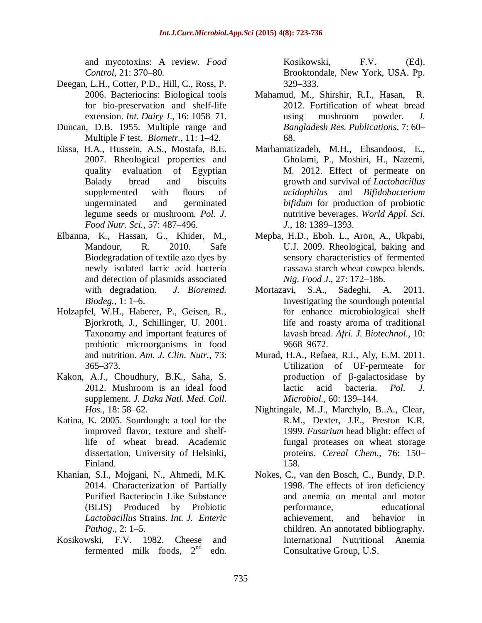and mycotoxins: A review. *Food Control,* 21: 370–80.

- Deegan, L.H., Cotter, P.D., Hill, C., Ross, P. 2006. Bacteriocins: Biological tools for bio-preservation and shelf-life extension. *Int. Dairy J*., 16: 1058–71.
- Duncan, D.B. 1955. Multiple range and Multiple F test. *Biometr.,* 11: 1–42.
- Eissa, H.A., Hussein, A.S., Mostafa, B.E. 2007. Rheological properties and quality evaluation of Egyptian Balady bread and biscuits supplemented with flours of ungerminated and germinated legume seeds or mushroom. *Pol. J. Food Nutr. Sci.,* 57: 487–496.
- Elbanna, K., Hassan, G., Khider, M., Mandour, R. 2010. Safe Biodegradation of textile azo dyes by newly isolated lactic acid bacteria and detection of plasmids associated with degradation. *J. Bioremed. Biodeg.,* 1: 1–6.
- Holzapfel, W.H., Haberer, P., Geisen, R., Bjorkroth, J., Schillinger, U. 2001. Taxonomy and important features of probiotic microorganisms in food and nutrition. *Am. J. Clin. Nutr.*, 73: 365–373.
- Kakon, A.J., Choudhury, B.K., Saha, S. 2012. Mushroom is an ideal food supplement. *J. Daka Natl. Med. Coll. Hos.,* 18: 58–62.
- Katina, K. 2005. Sourdough: a tool for the improved flavor, texture and shelflife of wheat bread. Academic dissertation, University of Helsinki, Finland.
- Khanian, S.I., Mojgani, N., Ahmedi, M.K. 2014. Characterization of Partially Purified Bacteriocin Like Substance (BLIS) Produced by Probiotic *Lactobacillus* Strains. *Int. J. Enteric Pathog*., 2: 1–5.
- Kosikowski, F.V. 1982. Cheese and fermented milk foods.  $2<sup>nd</sup>$ edn.

Kosikowski, F.V. (Ed). Brooktondale, New York, USA. Pp. 329–333.

- Mahamud, M., Shirshir, R.I., Hasan, R. 2012. Fortification of wheat bread using mushroom powder. *J. Bangladesh Res. Publications*, 7: 60– 68.
- Marhamatizadeh, M.H., Ehsandoost, E., Gholami, P., Moshiri, H., Nazemi, M. 2012. Effect of permeate on growth and survival of *Lactobacillus acidophilus* and *Bifidobacterium bifidum* for production of probiotic nutritive beverages. *World Appl. Sci. J*., 18: 1389–1393.
- Mepba, H.D., Eboh. L., Aron, A., Ukpabi, U.J. 2009. Rheological, baking and sensory characteristics of fermented cassava starch wheat cowpea blends. *Nig. Food J*., 27: 172–186.
- Mortazavi, S.A., Sadeghi, A. 2011. Investigating the sourdough potential for enhance microbiological shelf life and roasty aroma of traditional lavash bread. *Afri. J. Biotechnol.,* 10: 9668–9672.
- Murad, H.A., Refaea, R.I., Aly, E.M. 2011. Utilization of UF-permeate for production of β-galactosidase by lactic acid bacteria. *Pol. J. Microbiol.,* 60: 139–144.
- Nightingale, M..J., Marchylo, B..A., Clear, R.M., Dexter, J.E., Preston K.R. 1999. *Fusarium* head blight: effect of fungal proteases on wheat storage proteins. *Cereal Chem.,* 76: 150– 158.
- Nokes, C., van den Bosch, C., Bundy, D.P. 1998. The effects of iron deficiency and anemia on mental and motor performance, educational achievement, and behavior in children. An annotated bibliography. International Nutritional Anemia Consultative Group, U.S.